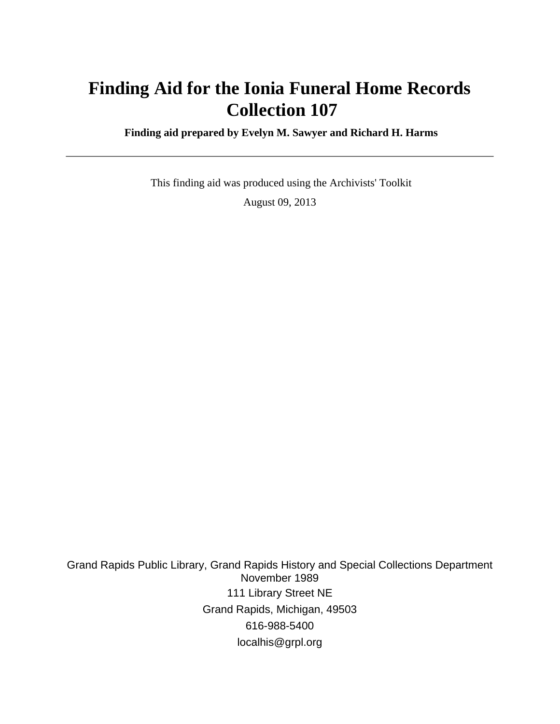# **Finding Aid for the Ionia Funeral Home Records Collection 107**

 **Finding aid prepared by Evelyn M. Sawyer and Richard H. Harms**

 This finding aid was produced using the Archivists' Toolkit August 09, 2013

Grand Rapids Public Library, Grand Rapids History and Special Collections Department November 1989 111 Library Street NE Grand Rapids, Michigan, 49503 616-988-5400 localhis@grpl.org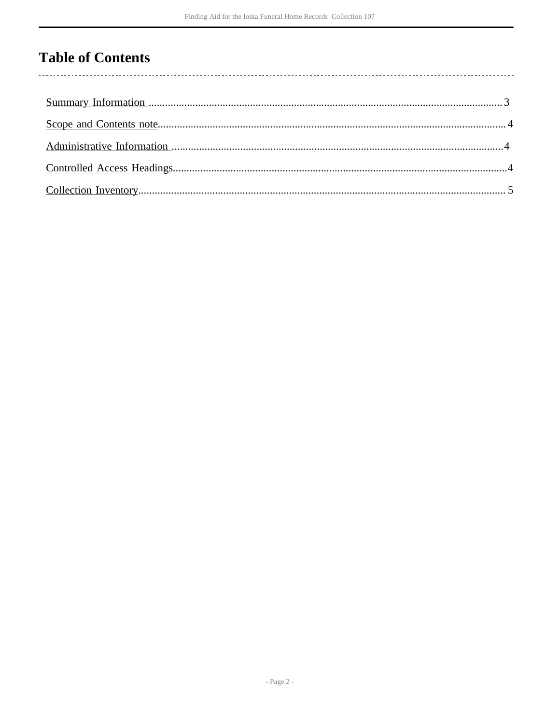### **Table of Contents**

 $\overline{\phantom{a}}$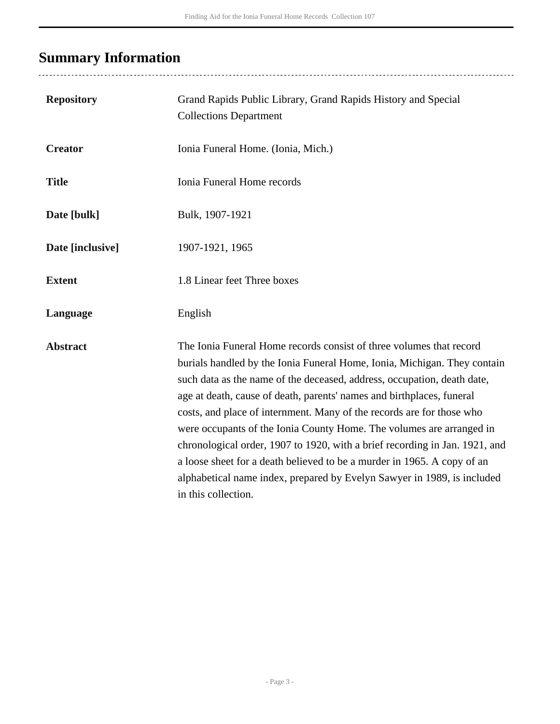# <span id="page-2-0"></span>**Summary Information**

| <b>Repository</b> | Grand Rapids Public Library, Grand Rapids History and Special<br><b>Collections Department</b>                                                                                                                                                                                                                                                                                                                                                                                                                                                                                                                                                                                                                   |
|-------------------|------------------------------------------------------------------------------------------------------------------------------------------------------------------------------------------------------------------------------------------------------------------------------------------------------------------------------------------------------------------------------------------------------------------------------------------------------------------------------------------------------------------------------------------------------------------------------------------------------------------------------------------------------------------------------------------------------------------|
| <b>Creator</b>    | Ionia Funeral Home. (Ionia, Mich.)                                                                                                                                                                                                                                                                                                                                                                                                                                                                                                                                                                                                                                                                               |
| <b>Title</b>      | Ionia Funeral Home records                                                                                                                                                                                                                                                                                                                                                                                                                                                                                                                                                                                                                                                                                       |
| Date [bulk]       | Bulk, 1907-1921                                                                                                                                                                                                                                                                                                                                                                                                                                                                                                                                                                                                                                                                                                  |
| Date [inclusive]  | 1907-1921, 1965                                                                                                                                                                                                                                                                                                                                                                                                                                                                                                                                                                                                                                                                                                  |
| <b>Extent</b>     | 1.8 Linear feet Three boxes                                                                                                                                                                                                                                                                                                                                                                                                                                                                                                                                                                                                                                                                                      |
| Language          | English                                                                                                                                                                                                                                                                                                                                                                                                                                                                                                                                                                                                                                                                                                          |
| <b>Abstract</b>   | The Ionia Funeral Home records consist of three volumes that record<br>burials handled by the Ionia Funeral Home, Ionia, Michigan. They contain<br>such data as the name of the deceased, address, occupation, death date,<br>age at death, cause of death, parents' names and birthplaces, funeral<br>costs, and place of internment. Many of the records are for those who<br>were occupants of the Ionia County Home. The volumes are arranged in<br>chronological order, 1907 to 1920, with a brief recording in Jan. 1921, and<br>a loose sheet for a death believed to be a murder in 1965. A copy of an<br>alphabetical name index, prepared by Evelyn Sawyer in 1989, is included<br>in this collection. |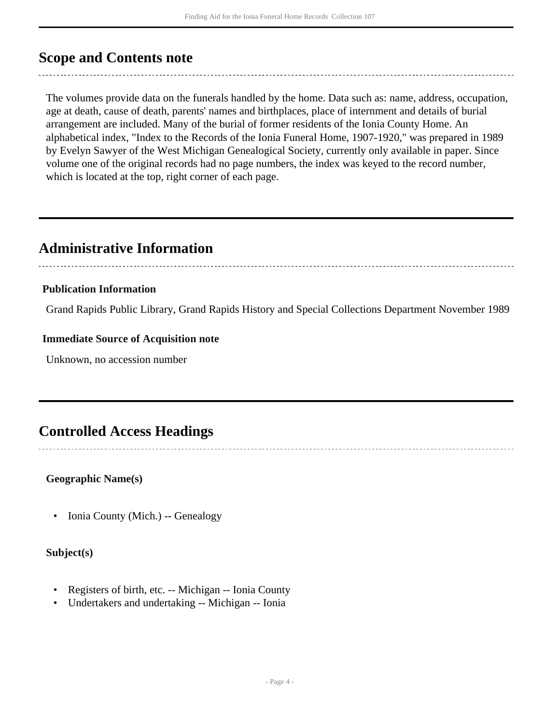### <span id="page-3-0"></span>**Scope and Contents note**

The volumes provide data on the funerals handled by the home. Data such as: name, address, occupation, age at death, cause of death, parents' names and birthplaces, place of internment and details of burial arrangement are included. Many of the burial of former residents of the Ionia County Home. An alphabetical index, "Index to the Records of the Ionia Funeral Home, 1907-1920," was prepared in 1989 by Evelyn Sawyer of the West Michigan Genealogical Society, currently only available in paper. Since volume one of the original records had no page numbers, the index was keyed to the record number, which is located at the top, right corner of each page.

### <span id="page-3-1"></span>**Administrative Information**

#### **Publication Information**

Grand Rapids Public Library, Grand Rapids History and Special Collections Department November 1989

#### **Immediate Source of Acquisition note**

Unknown, no accession number

### <span id="page-3-2"></span>**Controlled Access Headings**

#### **Geographic Name(s)**

• Ionia County (Mich.) -- Genealogy

#### **Subject(s)**

- Registers of birth, etc. -- Michigan -- Ionia County
- Undertakers and undertaking -- Michigan -- Ionia